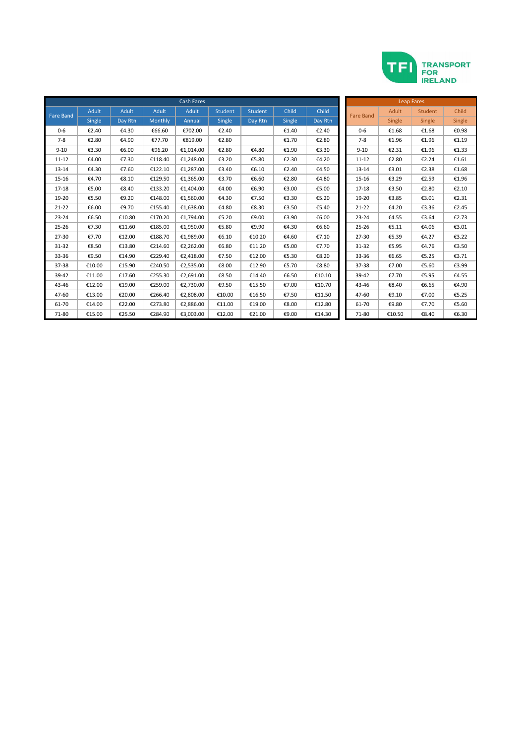

|                  |        |         |         | <b>Leap Fares</b> |         |         |               |         |                  |        |                |        |
|------------------|--------|---------|---------|-------------------|---------|---------|---------------|---------|------------------|--------|----------------|--------|
| <b>Fare Band</b> | Adult  | Adult   | Adult   | <b>Adult</b>      | Student | Student | Child         | Child   | <b>Fare Band</b> | Adult  | <b>Student</b> | Child  |
|                  | Single | Day Rtn | Monthly | Annual            | Single  | Day Rtn | <b>Single</b> | Day Rtn |                  | Single | Single         | Single |
| $0 - 6$          | €2.40  | €4.30   | €66.60  | €702.00           | €2.40   |         | €1.40         | €2.40   | $0 - 6$          | €1.68  | €1.68          | €0.98  |
| $7 - 8$          | €2.80  | €4.90   | €77.70  | €819.00           | €2.80   |         | €1.70         | €2.80   | $7 - 8$          | €1.96  | €1.96          | €1.19  |
| $9 - 10$         | €3.30  | €6.00   | €96.20  | €1,014.00         | €2.80   | €4.80   | €1.90         | €3.30   | $9 - 10$         | €2.31  | €1.96          | €1.33  |
| $11 - 12$        | €4.00  | €7.30   | €118.40 | €1,248.00         | €3.20   | €5.80   | €2.30         | €4.20   | $11 - 12$        | €2.80  | €2.24          | €1.61  |
| 13-14            | €4.30  | €7.60   | €122.10 | €1,287.00         | €3.40   | €6.10   | €2.40         | €4.50   | $13 - 14$        | €3.01  | €2.38          | €1.68  |
| 15-16            | €4.70  | €8.10   | €129.50 | €1,365.00         | €3.70   | €6.60   | €2.80         | €4.80   | $15 - 16$        | €3.29  | €2.59          | €1.96  |
| $17 - 18$        | €5.00  | €8.40   | €133.20 | €1.404.00         | €4.00   | €6.90   | €3.00         | €5.00   | $17 - 18$        | €3.50  | €2.80          | €2.10  |
| 19-20            | €5.50  | €9.20   | €148.00 | €1.560.00         | €4.30   | €7.50   | €3.30         | €5.20   | 19-20            | €3.85  | €3.01          | €2.31  |
| $21 - 22$        | €6.00  | €9.70   | €155.40 | €1,638.00         | €4.80   | €8.30   | €3.50         | €5.40   | $21 - 22$        | €4.20  | €3.36          | €2.45  |
| $23 - 24$        | €6.50  | €10.80  | €170.20 | €1,794.00         | €5.20   | €9.00   | €3.90         | €6.00   | $23 - 24$        | €4.55  | €3.64          | €2.73  |
| $25 - 26$        | €7.30  | €11.60  | €185.00 | €1,950.00         | €5.80   | €9.90   | €4.30         | €6.60   | $25 - 26$        | €5.11  | €4.06          | €3.01  |
| 27-30            | €7.70  | €12.00  | €188.70 | €1,989.00         | €6.10   | €10.20  | €4.60         | €7.10   | $27 - 30$        | €5.39  | €4.27          | €3.22  |
| 31-32            | €8.50  | €13.80  | €214.60 | €2,262.00         | €6.80   | €11.20  | €5.00         | €7.70   | 31-32            | €5.95  | €4.76          | €3.50  |
| 33-36            | €9.50  | €14.90  | €229.40 | €2,418.00         | €7.50   | €12.00  | €5.30         | €8.20   | 33-36            | €6.65  | €5.25          | €3.71  |
| 37-38            | €10.00 | €15.90  | €240.50 | €2,535.00         | €8.00   | €12.90  | €5.70         | €8.80   | 37-38            | €7.00  | €5.60          | €3.99  |
| 39-42            | €11.00 | €17.60  | €255.30 | €2,691.00         | €8.50   | €14.40  | €6.50         | €10.10  | 39-42            | €7.70  | €5.95          | €4.55  |
| 43-46            | €12.00 | €19.00  | €259.00 | €2,730.00         | €9.50   | €15.50  | €7.00         | €10.70  | 43-46            | €8.40  | €6.65          | €4.90  |
| 47-60            | €13.00 | €20.00  | €266.40 | €2,808.00         | €10.00  | €16.50  | €7.50         | €11.50  | 47-60            | €9.10  | €7.00          | €5.25  |
| 61-70            | €14.00 | €22.00  | €273.80 | €2,886.00         | €11.00  | €19.00  | €8.00         | €12.80  | 61-70            | €9.80  | €7.70          | €5.60  |
| 71-80            | €15.00 | €25.50  | €284.90 | €3.003.00         | €12.00  | €21.00  | €9.00         | €14.30  | 71-80            | €10.50 | €8.40          | €6.30  |